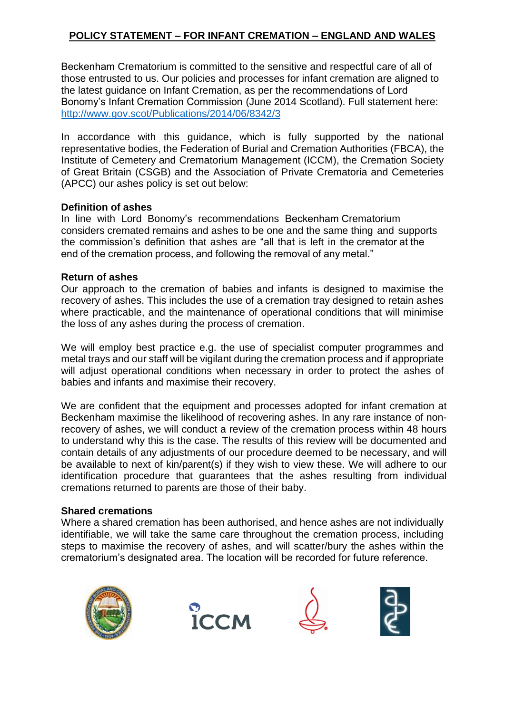# **POLICY STATEMENT – FOR INFANT CREMATION – ENGLAND AND WALES**

Beckenham Crematorium is committed to the sensitive and respectful care of all of those entrusted to us. Our policies and processes for infant cremation are aligned to the latest guidance on Infant Cremation, as per the recommendations of Lord Bonomy's Infant Cremation Commission (June 2014 Scotland). Full statement here: http://www.gov.scot/Publicatio[ns/2014/06/8342/3](http://www.gov.scot/Publications/2014/06/8342/3)

In accordance with this guidance, which is fully supported by the national representative bodies, the Federation of Burial and Cremation Authorities (FBCA), the Institute of Cemetery and Crematorium Management (ICCM), the Cremation Society of Great Britain (CSGB) and the Association of Private Crematoria and Cemeteries (APCC) our ashes policy is set out below:

## **Definition of ashes**

In line with Lord Bonomy's recommendations Beckenham Crematorium considers cremated remains and ashes to be one and the same thing and supports the commission's definition that ashes are "all that is left in the cremator at the end of the cremation process, and following the removal of any metal."

## **Return of ashes**

Our approach to the cremation of babies and infants is designed to maximise the recovery of ashes. This includes the use of a cremation tray designed to retain ashes where practicable, and the maintenance of operational conditions that will minimise the loss of any ashes during the process of cremation.

We will employ best practice e.g. the use of specialist computer programmes and metal trays and our staff will be vigilant during the cremation process and if appropriate will adjust operational conditions when necessary in order to protect the ashes of babies and infants and maximise their recovery.

We are confident that the equipment and processes adopted for infant cremation at Beckenham maximise the likelihood of recovering ashes. In any rare instance of nonrecovery of ashes, we will conduct a review of the cremation process within 48 hours to understand why this is the case. The results of this review will be documented and contain details of any adjustments of our procedure deemed to be necessary, and will be available to next of kin/parent(s) if they wish to view these. We will adhere to our identification procedure that guarantees that the ashes resulting from individual cremations returned to parents are those of their baby.

## **Shared cremations**

Where a shared cremation has been authorised, and hence ashes are not individually identifiable, we will take the same care throughout the cremation process, including steps to maximise the recovery of ashes, and will scatter/bury the ashes within the crematorium's designated area. The location will be recorded for future reference.